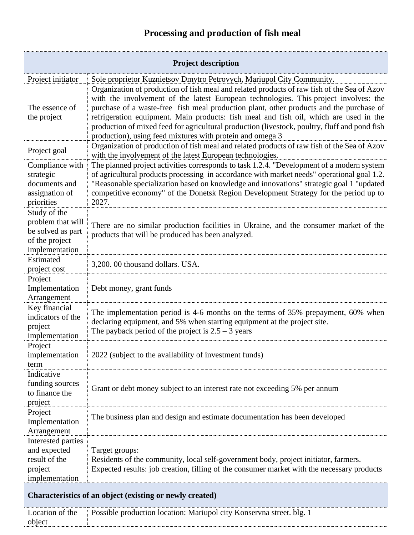## **Processing and production of fish meal**

| <b>Project description</b>                                                                 |                                                                                                                                                                                                                                                                                                                                                                                                                                                                                                                                       |  |
|--------------------------------------------------------------------------------------------|---------------------------------------------------------------------------------------------------------------------------------------------------------------------------------------------------------------------------------------------------------------------------------------------------------------------------------------------------------------------------------------------------------------------------------------------------------------------------------------------------------------------------------------|--|
| Project initiator                                                                          | Sole proprietor Kuznietsov Dmytro Petrovych, Mariupol City Community.                                                                                                                                                                                                                                                                                                                                                                                                                                                                 |  |
| The essence of<br>the project                                                              | Organization of production of fish meal and related products of raw fish of the Sea of Azov<br>with the involvement of the latest European technologies. This project involves: the<br>purchase of a waste-free fish meal production plant, other products and the purchase of<br>refrigeration equipment. Main products: fish meal and fish oil, which are used in the<br>production of mixed feed for agricultural production (livestock, poultry, fluff and pond fish<br>production), using feed mixtures with protein and omega 3 |  |
| Project goal                                                                               | Organization of production of fish meal and related products of raw fish of the Sea of Azov<br>with the involvement of the latest European technologies.                                                                                                                                                                                                                                                                                                                                                                              |  |
| Compliance with<br>strategic<br>documents and<br>assignation of<br>priorities              | The planned project activities corresponds to task 1.2.4. "Development of a modern system<br>of agricultural products processing in accordance with market needs" operational goal 1.2.<br>"Reasonable specialization based on knowledge and innovations" strategic goal 1 "updated<br>competitive economy" of the Donetsk Region Development Strategy for the period up to<br>2027.                                                                                                                                                  |  |
| Study of the<br>problem that will<br>be solved as part<br>of the project<br>implementation | There are no similar production facilities in Ukraine, and the consumer market of the<br>products that will be produced has been analyzed.                                                                                                                                                                                                                                                                                                                                                                                            |  |
| Estimated<br>project cost                                                                  | 3,200.00 thousand dollars. USA.                                                                                                                                                                                                                                                                                                                                                                                                                                                                                                       |  |
| Project<br>Implementation<br>Arrangement                                                   | Debt money, grant funds                                                                                                                                                                                                                                                                                                                                                                                                                                                                                                               |  |
| Key financial<br>indicators of the<br>project<br>implementation                            | The implementation period is 4-6 months on the terms of 35% prepayment, 60% when<br>declaring equipment, and 5% when starting equipment at the project site.<br>The payback period of the project is $2.5 - 3$ years                                                                                                                                                                                                                                                                                                                  |  |
| Project<br>implementation<br>term                                                          | 2022 (subject to the availability of investment funds)                                                                                                                                                                                                                                                                                                                                                                                                                                                                                |  |
| Indicative<br>funding sources<br>to finance the<br>project                                 | Grant or debt money subject to an interest rate not exceeding 5% per annum                                                                                                                                                                                                                                                                                                                                                                                                                                                            |  |
| Project<br>Implementation<br>Arrangement                                                   | The business plan and design and estimate documentation has been developed                                                                                                                                                                                                                                                                                                                                                                                                                                                            |  |
| Interested parties<br>and expected<br>result of the<br>project<br>implementation           | Target groups:<br>Residents of the community, local self-government body, project initiator, farmers.<br>Expected results: job creation, filling of the consumer market with the necessary products                                                                                                                                                                                                                                                                                                                                   |  |
| Characteristics of an object (existing or newly created)                                   |                                                                                                                                                                                                                                                                                                                                                                                                                                                                                                                                       |  |
| Location of the<br>object                                                                  | Possible production location: Mariupol city Konservna street. blg. 1                                                                                                                                                                                                                                                                                                                                                                                                                                                                  |  |